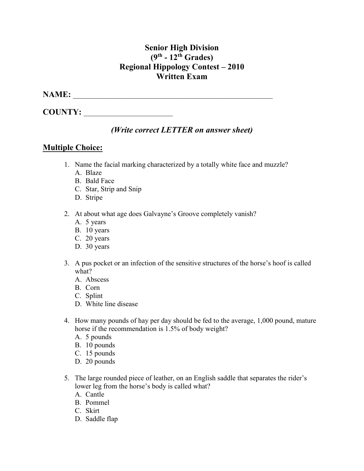## **Senior High Division (9th - 12th Grades) Regional Hippology Contest – 2010 Written Exam**

## **NAME:** \_\_\_\_\_\_\_\_\_\_\_\_\_\_\_\_\_\_\_\_\_\_\_\_\_\_\_\_\_\_\_\_\_\_\_\_\_\_\_\_\_\_\_\_\_\_\_\_\_\_\_\_\_\_\_\_

**COUNTY:** \_\_\_\_\_\_\_\_\_\_\_\_\_\_\_\_\_\_\_\_\_\_\_\_\_

## *(Write correct LETTER on answer sheet)*

## **Multiple Choice:**

- 1. Name the facial marking characterized by a totally white face and muzzle?
	- A. Blaze
	- B. Bald Face
	- C. Star, Strip and Snip
	- D. Stripe
- 2. At about what age does Galvayne's Groove completely vanish?
	- A. 5 years
	- B. 10 years
	- C. 20 years
	- D. 30 years
- 3. A pus pocket or an infection of the sensitive structures of the horse's hoof is called what?
	- A. Abscess
	- B. Corn
	- C. Splint
	- D. White line disease
- 4. How many pounds of hay per day should be fed to the average, 1,000 pound, mature horse if the recommendation is 1.5% of body weight?
	- A. 5 pounds
	- B. 10 pounds
	- C. 15 pounds
	- D. 20 pounds
- 5. The large rounded piece of leather, on an English saddle that separates the rider's lower leg from the horse's body is called what?
	- A. Cantle
	- B. Pommel
	- C. Skirt
	- D. Saddle flap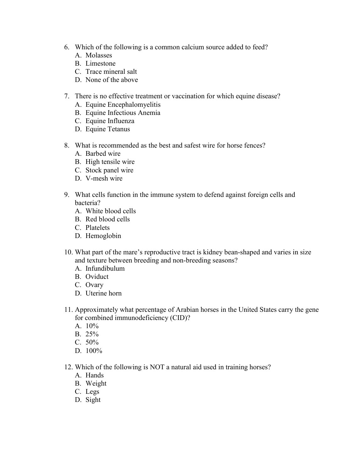- 6. Which of the following is a common calcium source added to feed?
	- A. Molasses
	- B. Limestone
	- C. Trace mineral salt
	- D. None of the above
- 7. There is no effective treatment or vaccination for which equine disease?
	- A. Equine Encephalomyelitis
	- B. Equine Infectious Anemia
	- C. Equine Influenza
	- D. Equine Tetanus
- 8. What is recommended as the best and safest wire for horse fences?
	- A. Barbed wire
	- B. High tensile wire
	- C. Stock panel wire
	- D. V-mesh wire
- 9. What cells function in the immune system to defend against foreign cells and bacteria?
	- A. White blood cells
	- B. Red blood cells
	- C. Platelets
	- D. Hemoglobin
- 10. What part of the mare's reproductive tract is kidney bean-shaped and varies in size and texture between breeding and non-breeding seasons?
	- A. Infundibulum
	- B. Oviduct
	- C. Ovary
	- D. Uterine horn
- 11. Approximately what percentage of Arabian horses in the United States carry the gene for combined immunodeficiency (CID)?
	- A. 10%
	- B. 25%
	- C. 50%
	- D. 100%
- 12. Which of the following is NOT a natural aid used in training horses?
	- A. Hands
	- B. Weight
	- C. Legs
	- D. Sight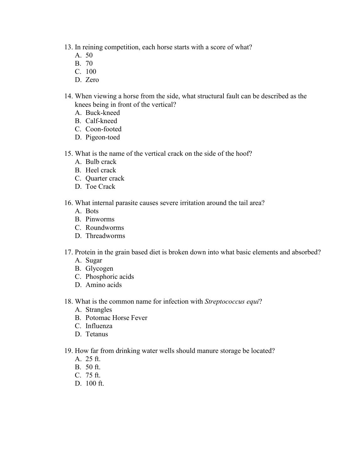13. In reining competition, each horse starts with a score of what?

- A. 50
- B. 70
- C. 100
- D. Zero
- 14. When viewing a horse from the side, what structural fault can be described as the knees being in front of the vertical?
	- A. Buck-kneed
	- B. Calf-kneed
	- C. Coon-footed
	- D. Pigeon-toed
- 15. What is the name of the vertical crack on the side of the hoof?
	- A. Bulb crack
	- B. Heel crack
	- C. Quarter crack
	- D. Toe Crack
- 16. What internal parasite causes severe irritation around the tail area?
	- A. Bots
	- B. Pinworms
	- C. Roundworms
	- D. Threadworms
- 17. Protein in the grain based diet is broken down into what basic elements and absorbed?
	- A. Sugar
	- B. Glycogen
	- C. Phosphoric acids
	- D. Amino acids
- 18. What is the common name for infection with *Streptococcus equi*?
	- A. Strangles
	- B. Potomac Horse Fever
	- C. Influenza
	- D. Tetanus
- 19. How far from drinking water wells should manure storage be located?
	- A. 25 ft.
	- B. 50 ft.
	- C. 75 ft.
	- D. 100 ft.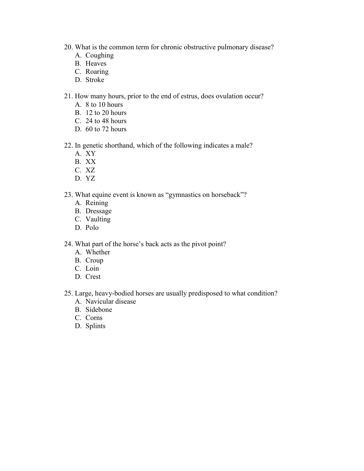- 20. What is the common term for chronic obstructive pulmonary disease?
	- A. Coughing
	- B. Heaves
	- C. Roaring
	- D. Stroke

#### 21. How many hours, prior to the end of estrus, does ovulation occur?

- A. 8 to 10 hours
- B. 12 to 20 hours
- C. 24 to 48 hours
- D. 60 to 72 hours
- 22. In genetic shorthand, which of the following indicates a male?
	- A. XY
	- B. XX
	- C. XZ
	- D. YZ

#### 23. What equine event is known as "gymnastics on horseback"?

- A. Reining
- B. Dressage
- C. Vaulting
- D. Polo

24. What part of the horse's back acts as the pivot point?

- A. Whether
- B. Croup
- C. Loin
- D. Crest
- 25. Large, heavy-bodied horses are usually predisposed to what condition?
	- A. Navicular disease
	- B. Sidebone
	- C. Corns
	- D. Splints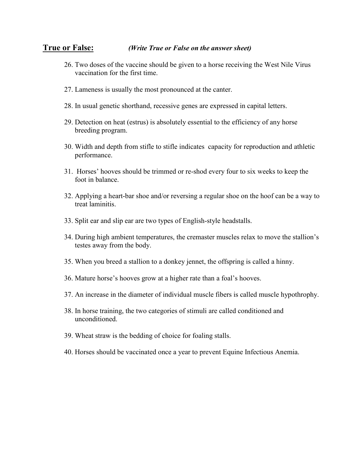#### **True or False:** *(Write True or False on the answer sheet)*

- 26. Two doses of the vaccine should be given to a horse receiving the West Nile Virus vaccination for the first time.
- 27. Lameness is usually the most pronounced at the canter.
- 28. In usual genetic shorthand, recessive genes are expressed in capital letters.
- 29. Detection on heat (estrus) is absolutely essential to the efficiency of any horse breeding program.
- 30. Width and depth from stifle to stifle indicates capacity for reproduction and athletic performance.
- 31. Horses' hooves should be trimmed or re-shod every four to six weeks to keep the foot in balance.
- 32. Applying a heart-bar shoe and/or reversing a regular shoe on the hoof can be a way to treat laminitis.
- 33. Split ear and slip ear are two types of English-style headstalls.
- 34. During high ambient temperatures, the cremaster muscles relax to move the stallion's testes away from the body.
- 35. When you breed a stallion to a donkey jennet, the offspring is called a hinny.
- 36. Mature horse's hooves grow at a higher rate than a foal's hooves.
- 37. An increase in the diameter of individual muscle fibers is called muscle hypothrophy.
- 38. In horse training, the two categories of stimuli are called conditioned and unconditioned.
- 39. Wheat straw is the bedding of choice for foaling stalls.
- 40. Horses should be vaccinated once a year to prevent Equine Infectious Anemia.